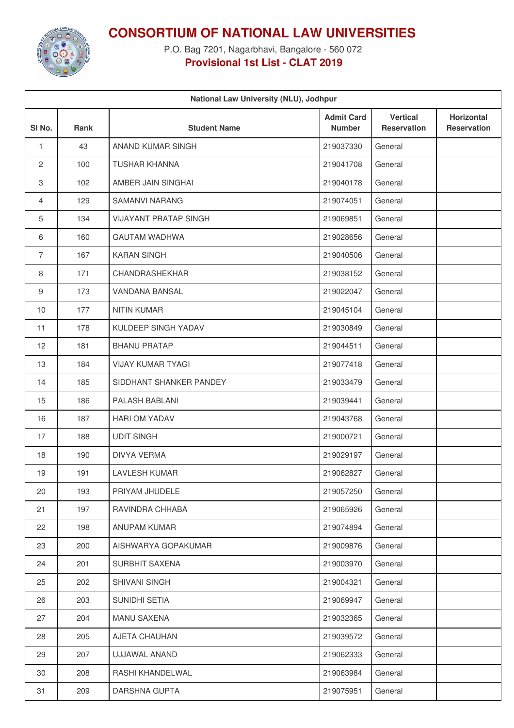

## **CONSORTIUM OF NATIONAL LAW UNIVERSITIES**

P.O. Bag 7201, Nagarbhavi, Bangalore - 560 072 **Provisional 1st List - CLAT 2019**

| National Law University (NLU), Jodhpur |      |                              |                                    |                                       |                                  |  |  |  |  |
|----------------------------------------|------|------------------------------|------------------------------------|---------------------------------------|----------------------------------|--|--|--|--|
| SI <sub>No.</sub>                      | Rank | <b>Student Name</b>          | <b>Admit Card</b><br><b>Number</b> | <b>Vertical</b><br><b>Reservation</b> | Horizontal<br><b>Reservation</b> |  |  |  |  |
| $\mathbf{1}$                           | 43   | ANAND KUMAR SINGH            | 219037330                          | General                               |                                  |  |  |  |  |
| 2                                      | 100  | <b>TUSHAR KHANNA</b>         | 219041708                          | General                               |                                  |  |  |  |  |
| 3                                      | 102  | AMBER JAIN SINGHAI           | 219040178                          | General                               |                                  |  |  |  |  |
| 4                                      | 129  | <b>SAMANVI NARANG</b>        | 219074051                          | General                               |                                  |  |  |  |  |
| 5                                      | 134  | <b>VIJAYANT PRATAP SINGH</b> | 219069851                          | General                               |                                  |  |  |  |  |
| 6                                      | 160  | <b>GAUTAM WADHWA</b>         | 219028656                          | General                               |                                  |  |  |  |  |
| $\overline{7}$                         | 167  | <b>KARAN SINGH</b>           | 219040506                          | General                               |                                  |  |  |  |  |
| 8                                      | 171  | CHANDRASHEKHAR               | 219038152                          | General                               |                                  |  |  |  |  |
| 9                                      | 173  | <b>VANDANA BANSAL</b>        | 219022047                          | General                               |                                  |  |  |  |  |
| 10                                     | 177  | <b>NITIN KUMAR</b>           | 219045104                          | General                               |                                  |  |  |  |  |
| 11                                     | 178  | KULDEEP SINGH YADAV          | 219030849                          | General                               |                                  |  |  |  |  |
| 12                                     | 181  | <b>BHANU PRATAP</b>          | 219044511                          | General                               |                                  |  |  |  |  |
| 13                                     | 184  | <b>VIJAY KUMAR TYAGI</b>     | 219077418                          | General                               |                                  |  |  |  |  |
| 14                                     | 185  | SIDDHANT SHANKER PANDEY      | 219033479                          | General                               |                                  |  |  |  |  |
| 15                                     | 186  | PALASH BABLANI               | 219039441                          | General                               |                                  |  |  |  |  |
| 16                                     | 187  | <b>HARI OM YADAV</b>         | 219043768                          | General                               |                                  |  |  |  |  |
| 17                                     | 188  | <b>UDIT SINGH</b>            | 219000721                          | General                               |                                  |  |  |  |  |
| 18                                     | 190  | DIVYA VERMA                  | 219029197                          | General                               |                                  |  |  |  |  |
| 19                                     | 191  | <b>LAVLESH KUMAR</b>         | 219062827                          | General                               |                                  |  |  |  |  |
| 20                                     | 193  | PRIYAM JHUDELE               | 219057250                          | General                               |                                  |  |  |  |  |
| 21                                     | 197  | RAVINDRA CHHABA              | 219065926                          | General                               |                                  |  |  |  |  |
| 22                                     | 198  | ANUPAM KUMAR                 | 219074894                          | General                               |                                  |  |  |  |  |
| 23                                     | 200  | AISHWARYA GOPAKUMAR          | 219009876                          | General                               |                                  |  |  |  |  |
| 24                                     | 201  | SURBHIT SAXENA               | 219003970                          | General                               |                                  |  |  |  |  |
| 25                                     | 202  | SHIVANI SINGH                | 219004321                          | General                               |                                  |  |  |  |  |
| 26                                     | 203  | SUNIDHI SETIA                | 219069947                          | General                               |                                  |  |  |  |  |
| 27                                     | 204  | <b>MANU SAXENA</b>           | 219032365                          | General                               |                                  |  |  |  |  |
| 28                                     | 205  | AJETA CHAUHAN                | 219039572                          | General                               |                                  |  |  |  |  |
| 29                                     | 207  | UJJAWAL ANAND                | 219062333                          | General                               |                                  |  |  |  |  |
| 30                                     | 208  | RASHI KHANDELWAL             | 219063984                          | General                               |                                  |  |  |  |  |
| 31                                     | 209  | DARSHNA GUPTA                | 219075951                          | General                               |                                  |  |  |  |  |